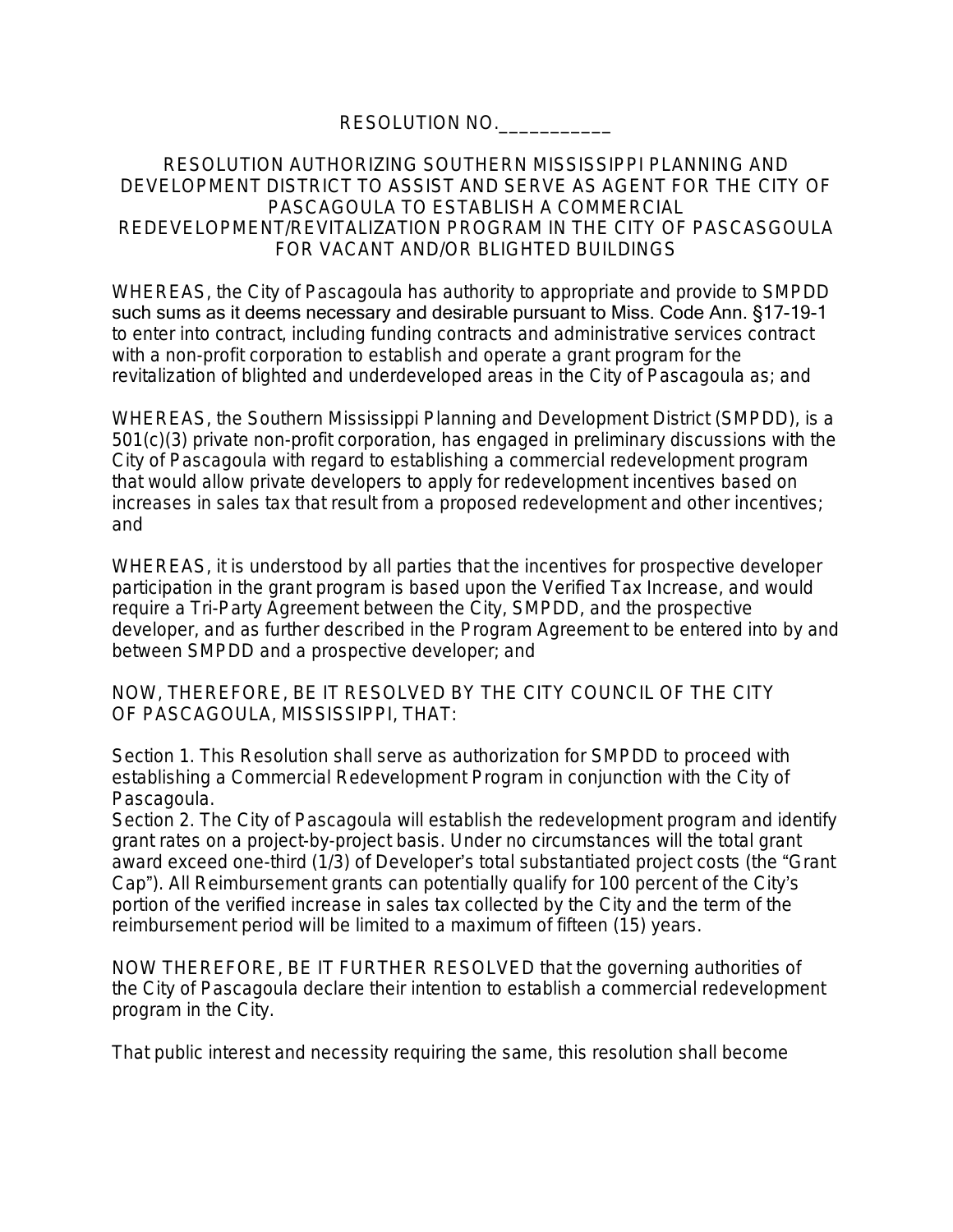RESOLUTION NO.

## RESOLUTION AUTHORIZING SOUTHERN MISSISSIPPI PLANNING AND DEVELOPMENT DISTRICT TO ASSIST AND SERVE AS AGENT FOR THE CITY OF PASCAGOULA TO ESTABLISH A COMMERCIAL REDEVELOPMENT/REVITALIZATION PROGRAM IN THE CITY OF PASCASGOULA FOR VACANT AND/OR BLIGHTED BUILDINGS

WHEREAS, the City of Pascagoula has authority to appropriate and provide to SMPDD such sums as it deems necessary and desirable pursuant to Miss. Code Ann. §17-19-1 to enter into contract, including funding contracts and administrative services contract with a non-profit corporation to establish and operate a grant program for the revitalization of blighted and underdeveloped areas in the City of Pascagoula as; and

WHEREAS, the Southern Mississippi Planning and Development District (SMPDD), is a 501(c)(3) private non-profit corporation, has engaged in preliminary discussions with the City of Pascagoula with regard to establishing a commercial redevelopment program that would allow private developers to apply for redevelopment incentives based on increases in sales tax that result from a proposed redevelopment and other incentives; and

WHEREAS, it is understood by all parties that the incentives for prospective developer participation in the grant program is based upon the Verified Tax Increase, and would require a Tri-Party Agreement between the City, SMPDD, and the prospective developer, and as further described in the Program Agreement to be entered into by and between SMPDD and a prospective developer; and

NOW, THEREFORE, BE IT RESOLVED BY THE CITY COUNCIL OF THE CITY OF PASCAGOULA, MISSISSIPPI, THAT:

Section 1. This Resolution shall serve as authorization for SMPDD to proceed with establishing a Commercial Redevelopment Program in conjunction with the City of Pascagoula.

Section 2. The City of Pascagoula will establish the redevelopment program and identify grant rates on a project-by-project basis. Under no circumstances will the total grant award exceed one-third (1/3) of Developer's total substantiated project costs (the "Grant Cap"). All Reimbursement grants can potentially qualify for 100 percent of the City's portion of the verified increase in sales tax collected by the City and the term of the reimbursement period will be limited to a maximum of fifteen (15) years.

NOW THEREFORE, BE IT FURTHER RESOLVED that the governing authorities of the City of Pascagoula declare their intention to establish a commercial redevelopment program in the City.

That public interest and necessity requiring the same, this resolution shall become